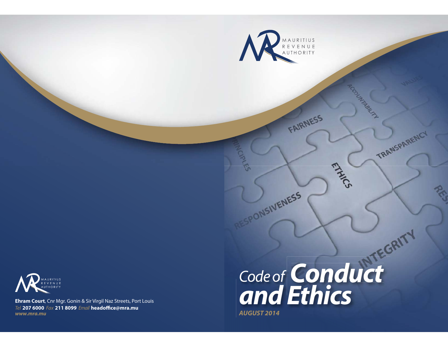

តា

SPONSIVENESS



**Ehram Court**, Cnr Mgr. Gonin & Sir Virgil Naz Streets, Port Louis Tel **207 6000** Fax **211 8099** Email **headoffice@mra.mu** *www.mra.mu*

# *Code of Conduct and Ethics AUGUST 2014*

FAIRNESS

MARGILLA

TRANSPARENCY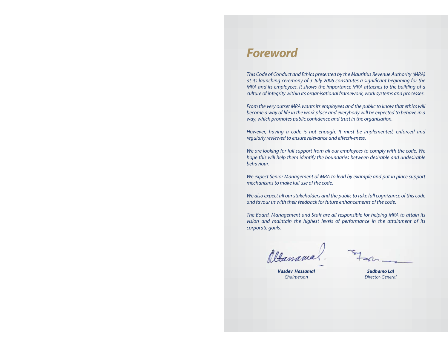## *Foreword*

This Code of Conduct and Ethics presented by the Mauritius Revenue Authority (MRA) at its launching ceremony of 3 July 2006 constitutes a significant beginning for the MRA and its employees. It shows the importance MRA attaches to the building of a culture of integrity within its organisational framework, work systems and processes.

From the very outset MRA wants its employees and the public to know that ethics will become a way of life in the work place and everybody will be expected to behave in a way, which promotes public confidence and trust in the organisation.

However, having a code is not enough. It must be implemented, enforced and regularly reviewed to ensure relevance and effectiveness.

We are looking for full support from all our employees to comply with the code. We hope this will help them identify the boundaries between desirable and undesirable behaviour.

We expect Senior Management of MRA to lead by example and put in place support mechanisms to make full use of the code.

We also expect all our stakeholders and the public to take full cognizance of this code and favour us with their feedback for future enhancements of the code.

The Board, Management and Staff are all responsible for helping MRA to attain its vision and maintain the highest levels of performance in the attainment of its corporate goals.

Albassam

*Vasdev Hassamal*Chairperson

*Sudhamo Lal*Director-General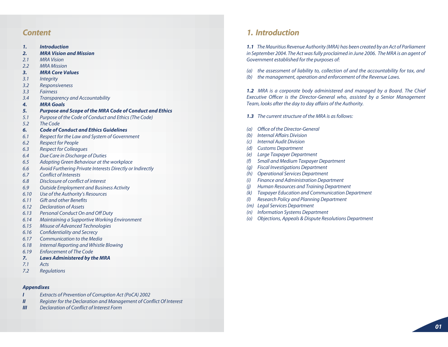- *Introduction1.*
- *MRA Vision and Mission2.*
- MRA Vision2.1
- MRA Mission2.2
- *MRA Core Values3.*
- **Integrity** 3.1
- Responsiveness 3.2
- Fairness3.3
- Transparency and Accountability 3.4
- *MRA Goals4.*
- *Purpose and Scope of the MRA Code of Conduct and Ethics 5.*
- Purpose of the Code of Conduct and Ethics (The Code) 5.1
- The Code5.2
- *Code of Conduct and Ethics Guidelines6.*
- Respect for the Law and System of Government 6.1
- Respect for People 6.2
- Respect for Colleagues 6.3
- Due Care in Discharge of Duties 6.4
- Adopting Green Behaviour at the workplace 6.5
- Avoid Furthering Private Interests Directly or Indirectly 6.6
- Conflict of Interests6.7
- Disclosure of conflict of interest6.8
- Outside Employment and Business Activity 6.9
- Use of the Authority's Resources 6.10
- Gift and other Benefits6.11
- Declaration of Assets6.12
- Personal Conduct On and Off Duty 6.13
- Maintaining a Supportive Working Environment 6.14
- Misuse of Advanced Technologies 6.15
- Confidentiality and Secrecy 6.16
- Communication to the Media6.17
- Internal Reporting and Whistle Blowing 6.18
- Enforcement of The Code6.19
- *Laws Administered by the MRA 7.*
- Acts7.1
- Regulations 7.2

#### *Appendixes*

- *I*Extracts of Prevention of Corruption Act (PoCA) 2002
- *II*Register for the Declaration and Management of Conflict Of Interest
- *III*Declaration of Conflict of Interest Form

### *Content 1. Introduction*

*1.1* The Mauritius Revenue Authority (MRA) has been created by an Act of Parliament in September 2004. The Act was fully proclaimed in June 2006. The MRA is an agent of Government established for the purposes of:

- (a) the assessment of liability to, collection of and the accountability for tax, and
- (b) the management, operation and enforcement of the Revenue Laws.

*1.2* MRA is a corporate body administered and managed by a Board. The Chief Executive Officer is the Director-General who, assisted by a Senior Management Team, looks after the day to day affairs of the Authority.

- *1.3* The current structure of the MRA is as follows:
- (a) Office of the Director-General
- (b) Internal Affairs Division
- (c) Internal Audit Division
- (d) Customs Department
- Large Taxpayer Department (e)
- Small and Medium Taxpayer Department (f)
- (g) Fiscal Investigations Department
- (h) Operational Services Department
- (i) Finance and Administration Department
- (j) Human Resources and Training Department
- Taxpayer Education and Communication Department (k)
- Research Policy and Planning Department (l)
- (m) Legal Services Department
- (n) Information Systems Department
- (o) Objections, Appeals & Dispute Resolutions Department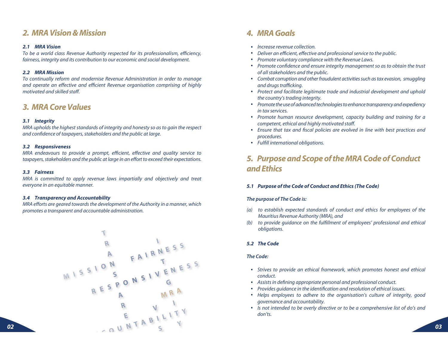### *2. MRA Vision & Mission*

#### *2.1 MRA Vision*

To be a world class Revenue Authority respected for its professionalism, efficiency, fairness, integrity and its contribution to our economic and social development.

#### *2.2 MRA Mission*

To continually reform and modernise Revenue Administration in order to manage and operate an effective and efficient Revenue organisation comprising of highly motivated and skilled staff.

### *3. MRA Core Values*

#### *3.1 Integrity*

MRA upholds the highest standards of integrity and honesty so as to gain the respect and confidence of taxpayers, stakeholders and the public at large.

#### *3.2 Responsiveness*

MRA endeavours to provide a prompt, efficient, effective and quality service to taxpayers, stakeholders and the public at large in an effort to exceed their expectations.

#### *3.3 Fairness*

MRA is committed to apply revenue laws impartially and objectively and treat everyone in an equitable manner.

#### *3.4 Transparency and Accountability*

MRA efforts are geared towards the development of the Authority in a manner, which promotes a transparent and accountable administration.



### *4. MRA Goals*

- Increase revenue collection.
- Deliver an efficient, effective and professional service to the public.
- Promote voluntary compliance with the Revenue Laws.
- Promote confidence and ensure integrity management so as to obtain the trust of all stakeholders and the public.
- Combat corruption and other fraudulent activities such as tax evasion, smuggling and drugs trafficking.
- Protect and facilitate legitimate trade and industrial development and uphold the country's trading integrity.
- Promote the use of advanced technologies to enhance transparency and expediency in tax services.
- Promote human resource development, capacity building and training for a competent, ethical and highly motivated staff.
- Ensure that tax and fiscal policies are evolved in line with best practices and procedures.
- Fulfill international obligations.

### *5. Purpose and Scope of the MRA Code of Conduct and Ethics*

#### *5.1 Purpose of the Code of Conduct and Ethics (The Code)*

#### *The purpose of The Code is:*

- (a) to establish expected standards of conduct and ethics for employees of the Mauritius Revenue Authority (MRA), and
- (b) to provide guidance on the fulfillment of employees' professional and ethical obligations.

#### *5.2 The Code*

#### *The Code:*

- Strives to provide an ethical framework, which promotes honest and ethical conduct.
- Assists in defining appropriate personal and professional conduct.
- Provides guidance in the identification and resolution of ethical issues.
- Helps employees to adhere to the organisation's culture of integrity, good governance and accountability.
- Is not intended to be overly directive or to be a comprehensive list of do's and don'ts.

*02*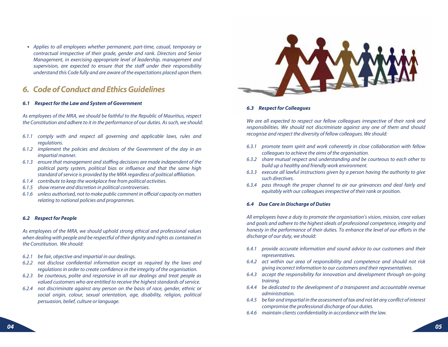Applies to all employees whether permanent, part-time, casual, temporary or contractual irrespective of their grade, gender and rank. Directors and Senior Management, in exercising appropriate level of leadership, management and supervision, are expected to ensure that the staff under their responsibility understand this Code fully and are aware of the expectations placed upon them.

### *6. Code of Conduct and Ethics Guidelines*

#### *6.1 Respect for the Law and System of Government*

As employees of the MRA, we should be faithful to the Republic of Mauritius, respect the Constitution and adhere to it in the performance of our duties. As such, we should:

- 6.1.1 comply with and respect all governing and applicable laws, rules and regulations.
- 6.1.2 implement the policies and decisions of the Government of the day in an impartial manner.
- 6.1.3 ensure that management and staffing decisions are made independent of the political party system, political bias or influence and that the same high standard of service is provided by the MRA regardless of political affiliation.
- 6.1.4 contribute to keep the workplace free from political activities.
- 6.1.5 show reserve and discretion in political controversies.
- 6.1.6 unless authorised, not to make public comment in official capacity on matters relating to national policies and programmes.

#### *6.2 Respect for People*

As employees of the MRA, we should uphold strong ethical and professional values when dealing with people and be respectful of their dignity and rights as contained in the Constitution. We should:

- 6.2.1 be fair, objective and impartial in our dealings.
- 6.2.2 not disclose confidential information except as required by the laws and regulations in order to create confidence in the integrity of the organisation.
- 6.2.3 be courteous, polite and responsive in all our dealings and treat people as valued customers who are entitled to receive the highest standards of service.
- 6.2.4 not discriminate against any person on the basis of race, gender, ethnic or social origin, colour, sexual orientation, age, disability, religion, political persuasion, belief, culture or language.



#### *6.3 Respect for Colleagues*

We are all expected to respect our fellow colleagues irrespective of their rank and responsibilities. We should not discriminate against any one of them and should recognise and respect the diversity of fellow colleagues. We should:

- 6.3.1 promote team spirit and work coherently in close collaboration with fellow colleagues to achieve the aims of the organisation.
- 6.3.2 share mutual respect and understanding and be courteous to each other to build up a healthy and friendly work environment.
- 6.3.3 execute all lawful instructions given by a person having the authority to give such directives.
- 6.3.4 pass through the proper channel to air our grievances and deal fairly and equitably with our colleagues irrespective of their rank or position.

#### *6.4 Due Care in Discharge of Duties*

All employees have a duty to promote the organisation's vision, mission, core values and goals and adhere to the highest ideals of professional competence, integrity and honesty in the performance of their duties. To enhance the level of our efforts in the discharge of our duty, we should:

- 6.4.1 provide accurate information and sound advice to our customers and their representatives.
- 6.4.2 act within our area of responsibility and competence and should not risk giving incorrect information to our customers and their representatives.
- 6.4.3 accept the responsibility for innovation and development through on-going training.
- 6.4.4 be dedicated to the development of a transparent and accountable revenue administration.
- 6.4.5 be fair and impartial in the assessment of tax and not let any conflict of interest compromise the professional discharge of our duties.
- $6.4.6$  maintain clients confidentiality in accordance with the law.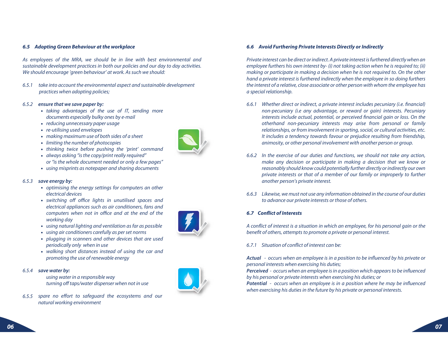#### *6.5 Adopting Green Behaviour at the workplace*

As employees of the MRA, we should be in line with best environmental and sustainable development practices in both our policies and our day to day activities. We should encourage 'green behaviour' at work. As such we should:

6.5.1 take into account the environmental aspect and sustainable development practices when adopting policies;

#### 6.5.2 *ensure that we save paper by:*

- taking advantages of the use of IT, sending more documents especially bulky ones by e-mail
- reducing unnecessary paper usage
- re-utilising used envelopes
- making maximum use of both sides of a sheet
- limiting the number of photocopies
- thinking twice before pushing the 'print' command
- always asking "is the copy/print really required" or "is the whole document needed or only a few pages"
- using misprints as notepaper and sharing documents

#### 6.5.3*save energy by:*

- optimising the energy settings for computers an other electrical devices
- switching off office lights in unutilised spaces and electrical appliances such as air conditioners, fans and computers when not in office and at the end of the working day
- using natural lighting and ventilation as far as possible
- using air conditioners carefully as per set norms
- plugging in scanners and other devices that are used periodically only when in use
- walking short distances instead of using the car and promoting the use of renewable energy

#### 6.5.4*save water by:*

using water in a responsible way turning off taps/water dispenser when not in use

6.5.5 spare no effort to safeguard the ecosystems and our natural working environment



a special relationship.

interests include actual, potential, or perceived financial gain or loss. On the otherhand non-pecuniary interests may arise from personal or family relationships, or from involvement in sporting, social, or cultural activities, etc. It includes a tendency towards favour or prejudice resulting from friendship, animosity, or other personal involvement with another person or group.

6.6.1 Whether direct or indirect, a private interest includes pecuniary (i.e. financial)

Private interest can be direct or indirect. A private interest is furthered directly when an employee furthers his own interest by- (i) not taking action when he is required to; (ii) making or participate in making a decision when he is not required to. On the other hand a private interest is furthered indirectly when the employee in so doing furthers the interest of a relative, close associate or other person with whom the employee has

*6.6 Avoid Furthering Private Interests Directly or Indirectly*

- 6.6.2 In the exercise of our duties and functions, we should not take any action, make any decision or participate in making a decision that we know or reasonably should know could potentially further directly or indirectly our own private interests or that of a member of our family or improperly to further another person's private interest.
- 6.6.3 Likewise, we must not use any information obtained in the course of our duties to advance our private interests or those of others.

#### *6.7 Conflict of Interests*

A conflict of interest is a situation in which an employee, for his personal gain or the benefit of others, attempts to promote a private or personal interest.

#### 6.7.1 Situation of conflict of interest can be:

*Actual* - occurs when an employee is in a position to be influenced by his private or personal interests when exercising his duties;

*Perceived* - occurs when an employee is in a position which appears to be influenced by his personal or private interests when exercising his duties; or

*Potential* - occurs when an employee is in a position where he may be influenced when exercising his duties in the future by his private or personal interests.

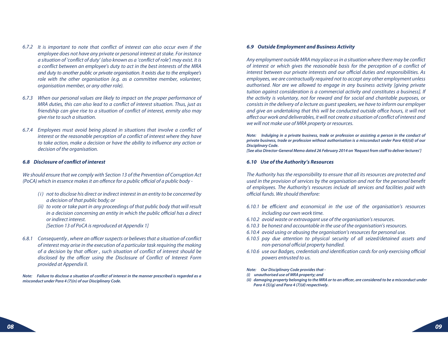- 6.7.2 It is important to note that conflict of interest can also occur even if the employee does not have any private or personal interest at stake. For instance a situation of 'conflict of duty' (also known as a 'conflict of role') may exist. It is a conflict between an employee's duty to act in the best interests of the MRA and duty to another public or private organisation. It exists due to the employee's role with the other organisation (e.g. as a committee member, volunteer, organisation member, or any other role).
- 6.7.3 When our personal values are likely to impact on the proper performance of MRA duties, this can also lead to a conflict of interest situation. Thus, just as friendship can give rise to a situation of conflict of interest, enmity also may give rise to such a situation.
- 6.7.4 Employees must avoid being placed in situations that involve a conflict of interest or the reasonable perception of a conflict of interest where they have to take action, make a decision or have the ability to influence any action or decision of the organisation.

#### *6.8 Disclosure of conflict of interest*

We should ensure that we comply with Section 13 of the Prevention of Corruption Act (PoCA) which in essence makes it an offence for a public official of a public body -

- (i) not to disclose his direct or indirect interest in an entity to be concerned by a decision of that public body; or
- (ii) to vote or take part in any proceedings of that public body that will result in a decision concerning an entity in which the public official has a direct or indirect interest.

[Section 13 of PoCA is reproduced at Appendix 1]

6.8.1 Consequently , where an officer suspects or believes that a situation of conflict of interest may arise in the execution of a particular task requiring the making of a decision by that officer , such situation of conflict of interest should be disclosed by the officer using the Disclosure of Conflict of Interest Form provided at Appendix II.

*Note: Failure to disclose a situation of conflict of interest in the manner prescribed is regarded as a misconduct under Para 4 (7)(n) of our Disciplinary Code.*

#### *6.9 Outside Employment and Business Activity*

Any employment outside MRA may place us in a situation where there may be conflict of interest or which gives the reasonable basis for the perception of a conflict of interest between our private interests and our official duties and responsibilities. As employees, we are contractually required not to accept any other employment unless authorised. Nor are we allowed to engage in any business activity [giving private tuition against consideration is a commercial activity and constitutes a business]. If the activity is voluntary, not for reward and for social and charitable purposes, or consists in the delivery of a lecture as guest speakers, we have to inform our employer and give an undertaking that this will be conducted outside office hours, it will not affect our work and deliverables, it will not create a situation of conflict of interest and we will not make use of MRA property or resources.

*Note: Indulging in a private business, trade or profession or assisting a person in the conduct of private business, trade or profession without authorisation is a misconduct under Para 4(6)(d) of our Disciplinary Code.*

*[See also Director-General Memo dated 26 February 2014 on 'Request from staff to deliver lectures']*

#### *6.10 Use of the Authority's Resources*

The Authority has the responsibility to ensure that all its resources are protected and used in the provision of services by the organisation and not for the personal benefit of employees. The Authority's resources include all services and facilities paid with official funds. We should therefore:

- 6.10.1 be efficient and economical in the use of the organisation's resources including our own work time.
- 6.10.2 avoid waste or extravagant use of the organisation's resources.
- 6.10.3 be honest and accountable in the use of the organisation's resources.
- 6.10.4 avoid using or abusing the organisation's resources for personal use.
- 6.10.5 pay due attention to physical security of all seized/detained assets and non-personal official property handled.
- 6.10.6 use our Badges, credentials and identification cards for only exercising official powers entrusted to us.

*Note: Our Disciplinary Code provides that -*

- *(i) unauthorised use of MRA property; and*
- *(ii) damaging property belonging to the MRA or to an officer, are considered to be a misconduct under Para 4 (5)(g) and Para 4 (7)(d) respectively.*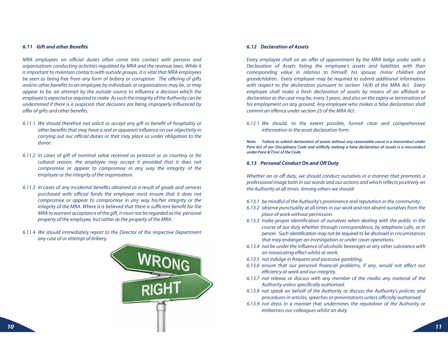#### *6.11 Gift and other Benefits*

MRA employees on official duties often come into contact with persons and organisations conducting activities regulated by MRA and the revenue laws. While it is important to maintain contacts with outside groups, it is vital that MRA employees be seen as being free from any form of bribery or corruption. The offering of gifts and/or other benefits to an employee by individuals or organisations may be, or may appear to be, an attempt by the outside source to influence a decision which the employee is expected or required to make. As such the integrity of the Authority can be undermined if there is a suspicion that decisions are being improperly influenced by offer of gifts and other benefits.

- 6.11.1 We should therefore not solicit or accept any gift or benefit of hospitality or other benefits that may have a real or apparent influence on our objectivity in carrying out our official duties or that may place us under obligation to the donor.
- 6.11.2 In cases of gift of nominal value received as protocol or as courtesy or for cultural reason, the employee may accept it provided that it does not compromise or appear to compromise in any way the integrity of the employee or the integrity of the organisation.
- 6.11.3 In cases of any incidental benefits obtained as a result of goods and services purchased with official funds the employee must ensure that it does not compromise or appear to compromise in any way his/her integrity or the integrity of the MRA. Where it is believed that there is sufficient benefit for the MRA to warrant acceptance of the gift, it must not be regarded as the personal property of the employee, but rather as the property of the MRA.
- 6.11.4 We should immediately report to the Director of the respective Department any case of or attempt of bribery.



#### *6.12 Declaration of Assets*

Every employee shall on an offer of appointment by the MRA lodge under oath a Declaration of Assets listing the employee's assets and liabilities with their corresponding value in relation to himself, his spouse, minor children and grandchildren. Every employee may be required to submit additional information with respect to the declaration pursuant to section 14(4) of the MRA Act. Every employee shall make a fresh declaration of assets by means of an affidavit or declaration as the case may be, every 3 years, and also on the expiry or termination of his employment on any ground. Any employee who makes a false declaration shall commit an offence under section 25 of the MRA Act.

6.12.1 We should, to the extent possible, furnish clear and comprehensive information in the asset declaration form.

*Note: Failure to submit declaration of assets without any reasonable cause is a misconduct under Para 6(i) of our Disciplinary Code and willfully making a false declaration of assets is a misconduct under Para 4(7)(w) of the Code.*

#### *6.13 Personal Conduct On and Off Duty*

Whether on or off duty, we should conduct ourselves in a manner that promotes a professional image both in our words and our actions and which reflects positively on the Authority at all times. Among others we should:

- 6.13.1 be mindful of the Authority's prominence and reputation in the community.
- 6.13.2 observe punctuality at all times in our work and not absent ourselves from the place of work without permission.
- 6.13.3 make proper identification of ourselves when dealing with the public in the course of our duty whether through correspondence, by telephone calls, or in person. Such identification may not be required to be disclosed in circumstances that may endanger an investigation or under cover operations.
- 6.13.4 not be under the influence of alcoholic beverages or any other substance with an intoxicating effect whilst at work.
- 6.13.5 not indulge in frequent and excessive gambling.
- 6.13.6 ensure that our personal financial problems, if any, would not affect our efficiency at work and our integrity.
- 6.13.7 not release or discuss with any member of the media any material of the Authority unless specifically authorised.
- 6.13.8 not speak on behalf of the Authority or discuss the Authority's policies and procedures in articles, speeches or presentations unless officially authorised.
- 6.13.9 not dress in a manner that undermines the reputation of the Authority or embarrass our colleagues whilst on duty.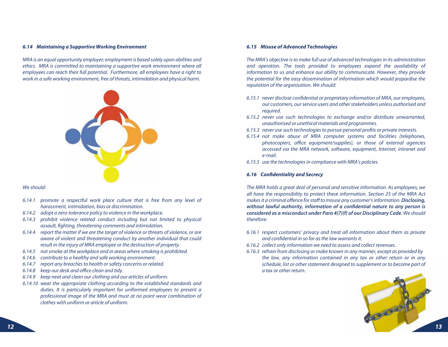#### *6.14 Maintaining a Supportive Working Environment*

MRA is an equal opportunity employer; employment is based solely upon abilities and ethics. MRA is committed to maintaining a supportive work environment where all employees can reach their full potential. Furthermore, all employees have a right to work in a safe working environment, free of threats, intimidation and physical harm.



#### We should:

- 6.14.1 promote a respectful work place culture that is free from any level of harassment, intimidation, bias or discrimination.
- 6.14.2  $\,$  adopt a zero-tolerance policy to violence in the workplace.
- 6.14.3 prohibit violence related conduct including but not limited to physical assault, fighting, threatening comments and intimidation.
- 6.14.4 report the matter if we are the target of violence or threats of violence, or are aware of violent and threatening conduct by another individual that could result in the injury of MRA employee or the destruction of property.
- 6.14.5 not smoke at the workplace and in areas where smoking is prohibited.
- 6.14.6 contribute to a healthy and safe working environment.
- 6.14.7 report any breaches to health or safety concerns or related.
- 6.14.8 keep our desk and office clean and tidy.
- 6.14.9 keep neat and clean our clothing and our articles of uniform.
- 6.14.10 wear the appropriate clothing according to the established standards and duties. It is particularly important for uniformed employees to present a professional image of the MRA and must at no point wear combination of clothes with uniform or article of uniform.

#### *6.15 Misuse of Advanced Technologies*

The MRA's objective is to make full use of advanced technologies in its administration and operation. The tools provided to employees expand the availability of information to us and enhance our ability to communicate. However, they provide the potential for the easy dissemination of information which would jeopardise the reputation of the organisation. We should:

- 6.15.1 never disclose confidential or proprietary information of MRA, our employees, our customers, our service users and other stakeholders unless authorised and required.
- 6.15.2 never use such technologies to exchange and/or distribute unwarranted, unauthorised or unethical materials and programmes.
- 6.15.3 never use such technologies to pursue personal profits or private interests.
- 6.15.4 not make abuse of MRA computer systems and facilities (telephones, photocopiers, office equipment/supplies), or those of external agencies accessed via the MRA network, software, equipment, Internet, intranet and e-mail.
- 6.15.5  $\,$  use the technologies in compliance with MRA's policies.

#### *6.16 Confidentiality and Secrecy*

The MRA holds a great deal of personal and sensitive information. As employees, we all have the responsibility to protect these information. Section 25 of the MRA Act makes it a criminal offence for staff to misuse any customer's information. *Disclosing, without lawful authority, information of a confidential nature to any person is considered as a misconduct under Para 4(7)(f) of our Disciplinary Code*. We should therefore:

- 6.16.1 respect customers' privacy and treat all information about them as private and confidential in so far as the law warrants it.
- 6.16.2 collect only information we need to assess and collect revenues.
- 6.16.3 refrain from disclosing or make known in any manner, except as provided by the law, any information contained in any tax or other return or in any schedule, list or other statement designed to supplement or to become part of a tax or other return.

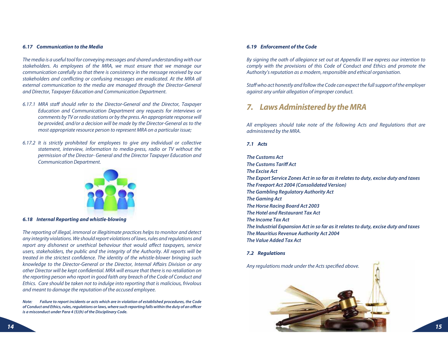#### *6.17 Communication to the Media*

The media is a useful tool for conveying messages and shared understanding with our stakeholders. As employees of the MRA, we must ensure that we manage our communication carefully so that there is consistency in the message received by our stakeholders and conflicting or confusing messages are eradicated. At the MRA all external communication to the media are managed through the Director-General and Director, Taxpayer Education and Communication Department.

- 6.17.1 MRA staff should refer to the Director-General and the Director, Taxpayer Education and Communication Department any requests for interviews or comments by TV or radio stations or by the press. An appropriate response will be provided, and/or a decision will be made by the Director-General as to the most appropriate resource person to represent MRA on a particular issue;
- 6.17.2 It is strictly prohibited for employees to give any individual or collective statement, interview, information to media-press, radio or TV without the permission of the Director- General and the Director Taxpayer Education and Communication Department.



#### *6.18 Internal Reporting and whistle-blowing*

The reporting of illegal, immoral or illegitimate practices helps to monitor and detect any integrity violations. We should report violations of laws, rules and regulations and report any dishonest or unethical behaviour that would affect taxpayers, service users, stakeholders, the public and the integrity of the Authority. All reports will be treated in the strictest confidence. The identity of the whistle-blower bringing such knowledge to the Director-General or the Director, Internal Affairs Division or any other Director will be kept confidential. MRA will ensure that there is no retaliation on the reporting person who report in good faith any breach of the Code of Conduct and Ethics. Care should be taken not to indulge into reporting that is malicious, frivolous and meant to damage the reputation of the accused employee.

*Note: Failure to report incidents or acts which are in violation of established procedures, the Code of Conduct and Ethics, rules, regulations or laws, where such reporting falls within the duty of an officer is a misconduct under Para 4 (5)(h) of the Disciplinary Code.*

#### *6.19 Enforcement of the Code*

By signing the oath of allegiance set out at Appendix III we express our intention to comply with the provisions of this Code of Conduct and Ethics and promote the Authority's reputation as a modern, responsible and ethical organisation.

Staff who act honestly and follow the Code can expect the full support of the employer against any unfair allegation of improper conduct.

### *7. Laws Administered by the MRA*

All employees should take note of the following Acts and Regulations that are administered by the MRA.

#### *7.1 Acts*

*The Customs ActThe Customs Tariff ActThe Excise ActThe Export Service Zones Act in so far as it relates to duty, excise duty and taxes The Freeport Act 2004 (Consolidated Version) The Gambling Regulatory Authority Act The Gaming Act The Horse Racing Board Act 2003 The Hotel and Restaurant Tax ActThe Income Tax ActThe Industrial Expansion Act in so far as it relates to duty, excise duty and taxes The Mauritius Revenue Authority Act 2004 The Value Added Tax Act*

#### *7.2 Regulations*

Any regulations made under the Acts specified above.

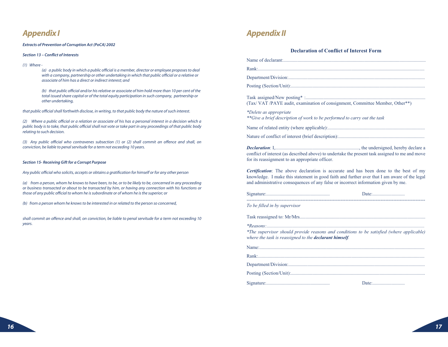### *Appendix I*

#### *Extracts of Prevention of Corruption Act (PoCA) 2002*

#### *Section 13 – Conflict of Interests*

#### (1) Where -

 (a) a public body in which a public official is a member, director or employee proposes to deal with a company, partnership or other undertaking in which that public official or a relative or associate of him has a direct or indirect interest; and

 (b) that public official and/or his relative or associate of him hold more than 10 per cent of the total issued share capital or of the total equity participation in such company, partnership or other undertaking,

that public official shall forthwith disclose, in writing, to that public body the nature of such interest.

(2) Where a public official or a relation or associate of his has a personal interest in a decision which a public body is to take, that public official shall not vote or take part in any proceedings of that public body relating to such decision.

(3) Any public official who contravenes subsection (1) or (2) shall commit an offence and shall, on conviction, be liable to penal servitude for a term not exceeding 10 years.

#### *Section 15- Receiving Gift for a Corrupt Purpose*

Any public official who solicits, accepts or obtains a gratification for himself or for any other person

(a) from a person, whom he knows to have been, to be, or to be likely to be, concerned in any proceeding or business transacted or about to be transacted by him, or having any connection with his functions or those of any public official to whom he is subordinate or of whom he is the superior; or

(b) from a person whom he knows to be interested in or related to the person so concerned,

shall commit an offence and shall, on conviction, be liable to penal servitude for a term not exceeding 10 years.

### *Appendix II*

#### **Declaration of Conflict of Interest Form**

Name of declarant:.......................................................................................................................

Rank:...........................................................................................................................................

Department/Division:..................................................................................................................

Posting (Section/Unit):................................................................................................................

Task assigned/New posting\* :.................................................................................................... (Tax/ VAT /PAYE audit, examination of consignment, Committee Member, Other\*\*)

*\*Delete as appropriate \*\*Give a brief description of work to be performed to carry out the task*

Name of related entity (where applicable):.................................................................................

Nature of conflict of interest (brief description):........................................................................

*Declaration*: I,......................................................................, the undersigned, hereby declare a conflict of interest (as described above) to undertake the present task assigned to me and move for its reassignment to an appropriate officer.

*Certification*: The above declaration is accurate and has been done to the best of my knowledge. I make this statement in good faith and further aver that I am aware of the legal and administrative consequences of any false or incorrect information given by me.

Signature:..................................................... Date:........................... ----------------------------------------------------------------------------------------------------------------

*To be filled in by supervisor*

Task reassigned to: Mr/Mrs.........................................................................................................

*\*Reasons:....................................................................................................................................*

*\*The supervisor should provide reasons and conditions to be satisfied (where applicable) where the task is reassigned to the declarant himself.*